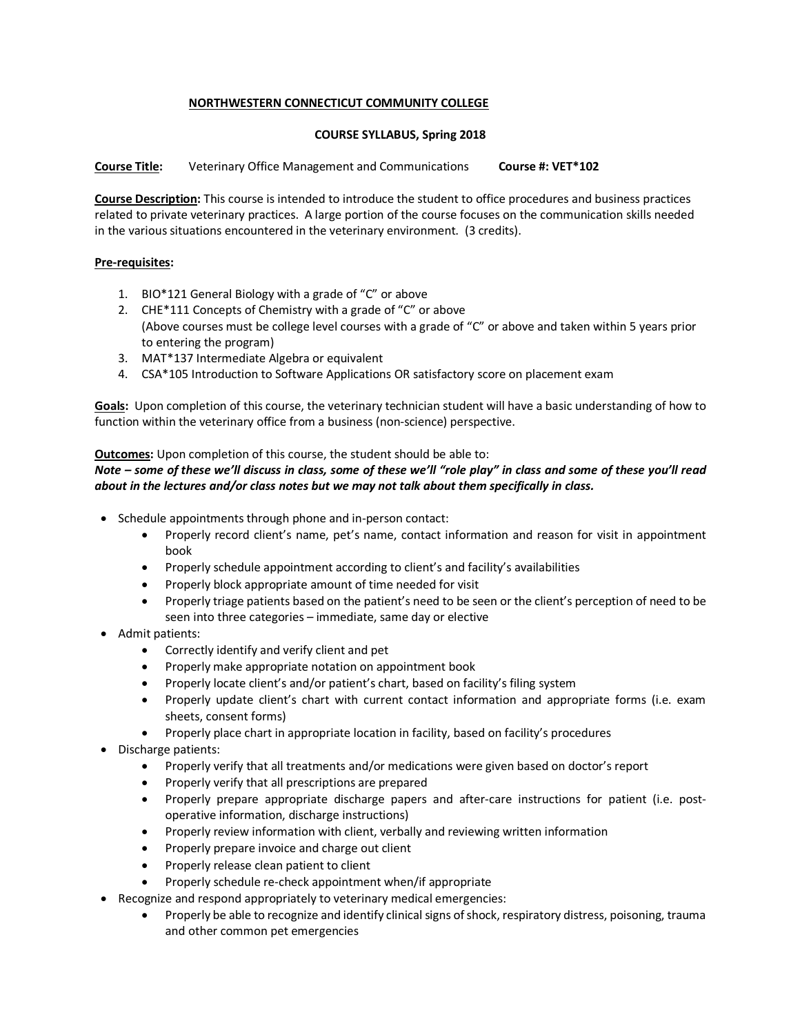# **NORTHWESTERN CONNECTICUT COMMUNITY COLLEGE**

### **COURSE SYLLABUS, Spring 2018**

**Course Title:** Veterinary Office Management and Communications **Course #: VET\*102**

**Course Description:** This course is intended to introduce the student to office procedures and business practices related to private veterinary practices. A large portion of the course focuses on the communication skills needed in the various situations encountered in the veterinary environment. (3 credits).

### **Pre-requisites:**

- 1. BIO\*121 General Biology with a grade of "C" or above
- 2. CHE\*111 Concepts of Chemistry with a grade of "C" or above (Above courses must be college level courses with a grade of "C" or above and taken within 5 years prior to entering the program)
- 3. MAT\*137 Intermediate Algebra or equivalent
- 4. CSA\*105 Introduction to Software Applications OR satisfactory score on placement exam

**Goals:** Upon completion of this course, the veterinary technician student will have a basic understanding of how to function within the veterinary office from a business (non-science) perspective.

### **Outcomes:** Upon completion of this course, the student should be able to:

# *Note – some of these we'll discuss in class, some of these we'll "role play" in class and some of these you'll read about in the lectures and/or class notes but we may not talk about them specifically in class.*

- Schedule appointments through phone and in-person contact:
	- Properly record client's name, pet's name, contact information and reason for visit in appointment book
	- Properly schedule appointment according to client's and facility's availabilities
	- Properly block appropriate amount of time needed for visit
	- Properly triage patients based on the patient's need to be seen or the client's perception of need to be seen into three categories – immediate, same day or elective
- Admit patients:
	- Correctly identify and verify client and pet
	- Properly make appropriate notation on appointment book
	- Properly locate client's and/or patient's chart, based on facility's filing system
	- Properly update client's chart with current contact information and appropriate forms (i.e. exam sheets, consent forms)
	- Properly place chart in appropriate location in facility, based on facility's procedures
- Discharge patients:
	- Properly verify that all treatments and/or medications were given based on doctor's report
	- Properly verify that all prescriptions are prepared
	- Properly prepare appropriate discharge papers and after-care instructions for patient (i.e. postoperative information, discharge instructions)
	- Properly review information with client, verbally and reviewing written information
	- Properly prepare invoice and charge out client
	- Properly release clean patient to client
	- Properly schedule re-check appointment when/if appropriate
- Recognize and respond appropriately to veterinary medical emergencies:
	- Properly be able to recognize and identify clinical signs of shock, respiratory distress, poisoning, trauma and other common pet emergencies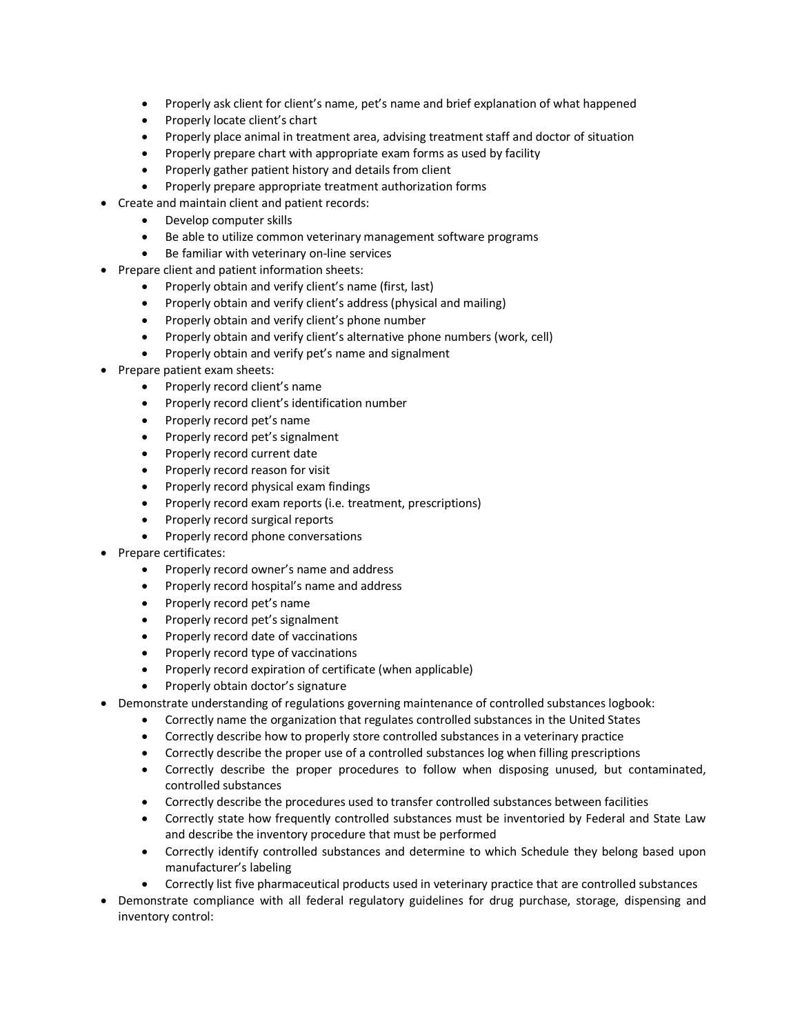- Properly ask client for client's name, pet's name and brief explanation of what happened
- Properly locate client's chart
- Properly place animal in treatment area, advising treatment staff and doctor of situation
- Properly prepare chart with appropriate exam forms as used by facility
- Properly gather patient history and details from client
- Properly prepare appropriate treatment authorization forms
- Create and maintain client and patient records:
	- Develop computer skills
	- Be able to utilize common veterinary management software programs
	- Be familiar with veterinary on-line services
- Prepare client and patient information sheets:
	- Properly obtain and verify client's name (first, last)
	- Properly obtain and verify client's address (physical and mailing)
	- Properly obtain and verify client's phone number
	- Properly obtain and verify client's alternative phone numbers (work, cell)
	- Properly obtain and verify pet's name and signalment
- Prepare patient exam sheets:
	- Properly record client's name
	- Properly record client's identification number
	- Properly record pet's name
	- Properly record pet's signalment
	- Properly record current date
	- Properly record reason for visit
	- Properly record physical exam findings
	- Properly record exam reports (i.e. treatment, prescriptions)
	- Properly record surgical reports
	- Properly record phone conversations
- Prepare certificates:
	- Properly record owner's name and address
	- Properly record hospital's name and address
	- Properly record pet's name
	- Properly record pet's signalment
	- Properly record date of vaccinations
	- Properly record type of vaccinations
	- Properly record expiration of certificate (when applicable)
	- Properly obtain doctor's signature
- Demonstrate understanding of regulations governing maintenance of controlled substances logbook:
	- Correctly name the organization that regulates controlled substances in the United States
	- Correctly describe how to properly store controlled substances in a veterinary practice
	- Correctly describe the proper use of a controlled substances log when filling prescriptions
	- Correctly describe the proper procedures to follow when disposing unused, but contaminated, controlled substances
	- Correctly describe the procedures used to transfer controlled substances between facilities
	- Correctly state how frequently controlled substances must be inventoried by Federal and State Law and describe the inventory procedure that must be performed
	- Correctly identify controlled substances and determine to which Schedule they belong based upon manufacturer's labeling
	- Correctly list five pharmaceutical products used in veterinary practice that are controlled substances
- Demonstrate compliance with all federal regulatory guidelines for drug purchase, storage, dispensing and inventory control: